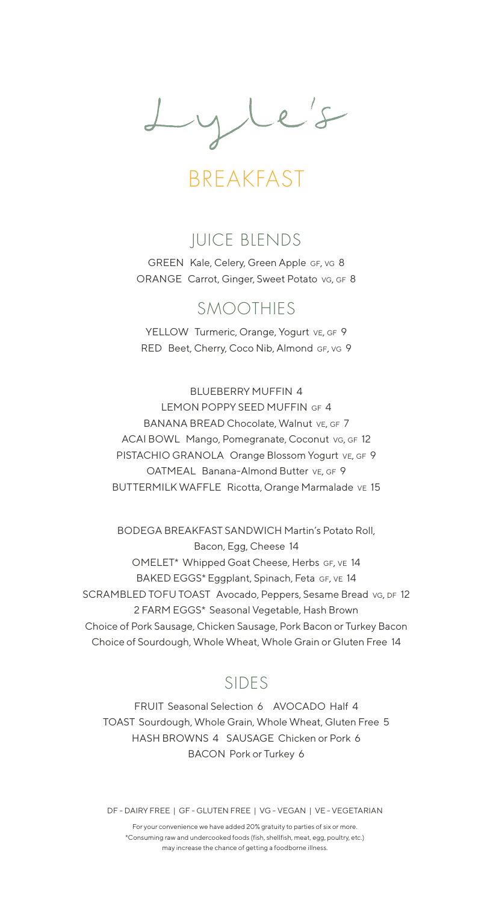Lyle's

BREAKFAST

### JUICE BLENDS

GREEN Kale, Celery, Green Apple GF, vG 8 ORANGE Carrot, Ginger, Sweet Potato vg, GF 8

#### SMOOTHIES

YELLOW Turmeric, Orange, Yogurt VE, GF 9 RED Beet, Cherry, Coco Nib, Almond GF, vG 9

BLUEBERRY MUFFIN 4 LEMON POPPY SEED MUFFIN GF 4 BANANA BREAD Chocolate, Walnut VE, GF 7 ACAI BOWL Mango, Pomegranate, Coconut vg, GF 12 PISTACHIO GRANOLA Orange Blossom Yogurt VE, GF 9 OATMEAL Banana-Almond Butter VE, GF 9 BUTTERMILK WAFFLE Ricotta, Orange Marmalade ve 15

BODEGA BREAKFAST SANDWICH Martin's Potato Roll, Bacon, Egg, Cheese 14 OMELET\* Whipped Goat Cheese, Herbs GF, VE 14 BAKED EGGS\* Eggplant, Spinach, Feta GF, VE 14 SCRAMBLED TOFU TOAST Avocado, Peppers, Sesame Bread vg, DF 12 2 FARM EGGS\* Seasonal Vegetable, Hash Brown Choice of Pork Sausage, Chicken Sausage, Pork Bacon or Turkey Bacon Choice of Sourdough, Whole Wheat, Whole Grain or Gluten Free 14

### SIDES

FRUIT Seasonal Selection 6 AVOCADO Half 4 TOAST Sourdough, Whole Grain, Whole Wheat, Gluten Free 5 HASH BROWNS 4 SAUSAGE Chicken or Pork 6 BACON Pork or Turkey 6

DF - DAIRY FREE | GF - GLUTEN FREE | VG - VEGAN | VE - VEGETARIAN

For your convenience we have added 20% gratuity to parties of six or more. \*Consuming raw and undercooked foods (fish, shellfish, meat, egg, poultry, etc.) may increase the chance of getting a foodborne illness.